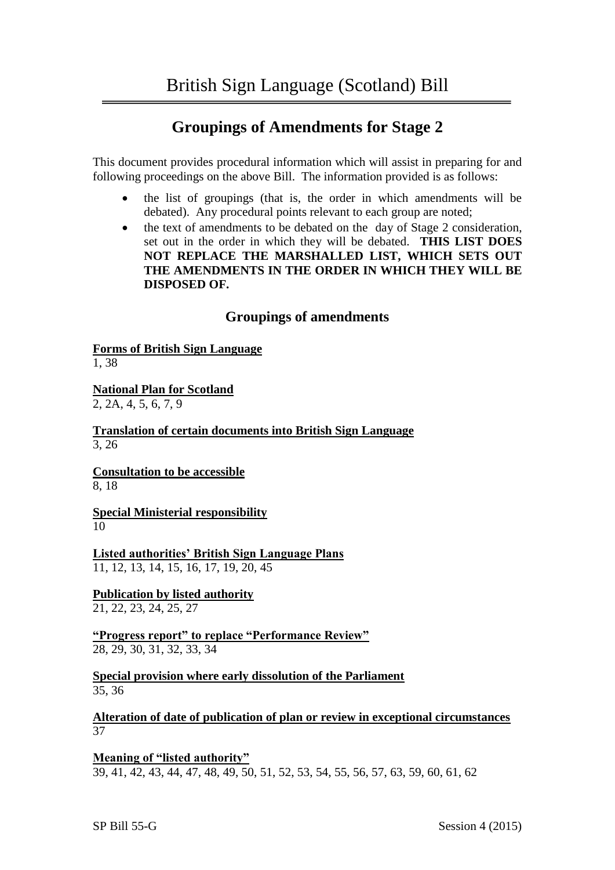# **Groupings of Amendments for Stage 2**

This document provides procedural information which will assist in preparing for and following proceedings on the above Bill. The information provided is as follows:

- the list of groupings (that is, the order in which amendments will be debated). Any procedural points relevant to each group are noted;
- the text of amendments to be debated on the day of Stage 2 consideration, set out in the order in which they will be debated. **THIS LIST DOES NOT REPLACE THE MARSHALLED LIST, WHICH SETS OUT THE AMENDMENTS IN THE ORDER IN WHICH THEY WILL BE DISPOSED OF.**

# **Groupings of amendments**

**Forms of British Sign Language**

1, 38

**National Plan for Scotland**  $2, 2A, 4, 5, 6, 7, 9$ 

**Translation of certain documents into British Sign Language** 3, 26

**Consultation to be accessible** 8, 18

**Special Ministerial responsibility** 10

**Listed authorities' British Sign Language Plans** 11, 12, 13, 14, 15, 16, 17, 19, 20, 45

**Publication by listed authority** 21, 22, 23, 24, 25, 27

**"Progress report" to replace "Performance Review"** 28, 29, 30, 31, 32, 33, 34

**Special provision where early dissolution of the Parliament** 35, 36

**Alteration of date of publication of plan or review in exceptional circumstances** 37

**Meaning of "listed authority"** 39, 41, 42, 43, 44, 47, 48, 49, 50, 51, 52, 53, 54, 55, 56, 57, 63, 59, 60, 61, 62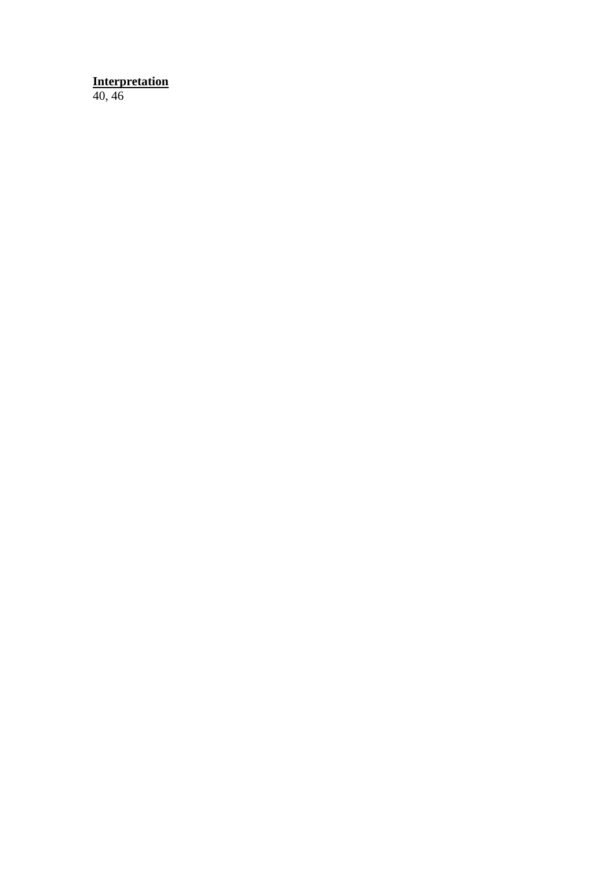#### **Interpretation**

40, 46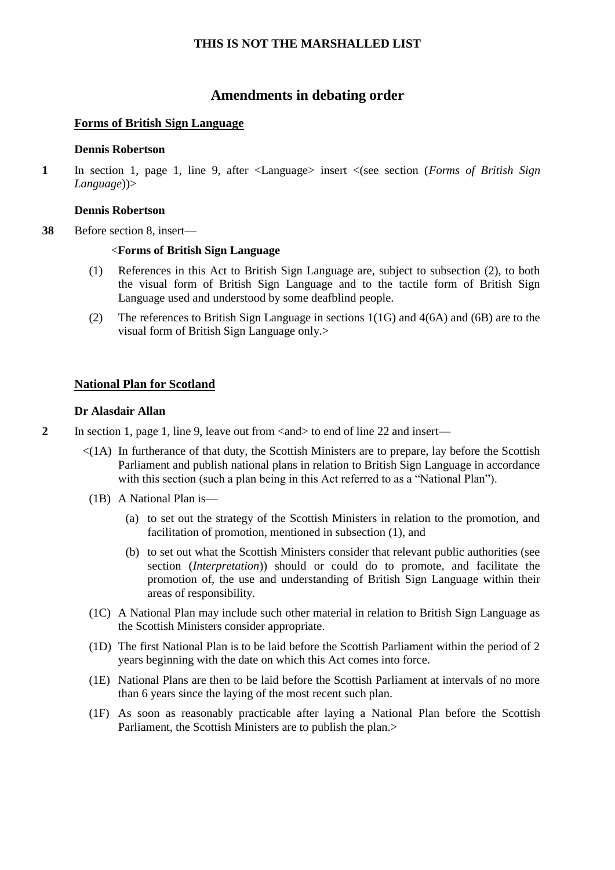# **Amendments in debating order**

### **Forms of British Sign Language**

#### **Dennis Robertson**

**1** In section 1, page 1, line 9, after <Language> insert <(see section (*Forms of British Sign Language*))>

#### **Dennis Robertson**

**38** Before section 8, insert—

#### <**Forms of British Sign Language**

- (1) References in this Act to British Sign Language are, subject to subsection (2), to both the visual form of British Sign Language and to the tactile form of British Sign Language used and understood by some deafblind people.
- (2) The references to British Sign Language in sections 1(1G) and 4(6A) and (6B) are to the visual form of British Sign Language only.>

#### **National Plan for Scotland**

#### **Dr Alasdair Allan**

- 2 In section 1, page 1, line 9, leave out from  $\langle$  and  $\rangle$  to end of line 22 and insert—
	- $\langle (1A)$  In furtherance of that duty, the Scottish Ministers are to prepare, lay before the Scottish Parliament and publish national plans in relation to British Sign Language in accordance with this section (such a plan being in this Act referred to as a "National Plan").
		- (1B) A National Plan is—
			- (a) to set out the strategy of the Scottish Ministers in relation to the promotion, and facilitation of promotion, mentioned in subsection (1), and
			- (b) to set out what the Scottish Ministers consider that relevant public authorities (see section (*Interpretation*)) should or could do to promote, and facilitate the promotion of, the use and understanding of British Sign Language within their areas of responsibility.
		- (1C) A National Plan may include such other material in relation to British Sign Language as the Scottish Ministers consider appropriate.
		- (1D) The first National Plan is to be laid before the Scottish Parliament within the period of 2 years beginning with the date on which this Act comes into force.
		- (1E) National Plans are then to be laid before the Scottish Parliament at intervals of no more than 6 years since the laying of the most recent such plan.
		- (1F) As soon as reasonably practicable after laying a National Plan before the Scottish Parliament, the Scottish Ministers are to publish the plan.>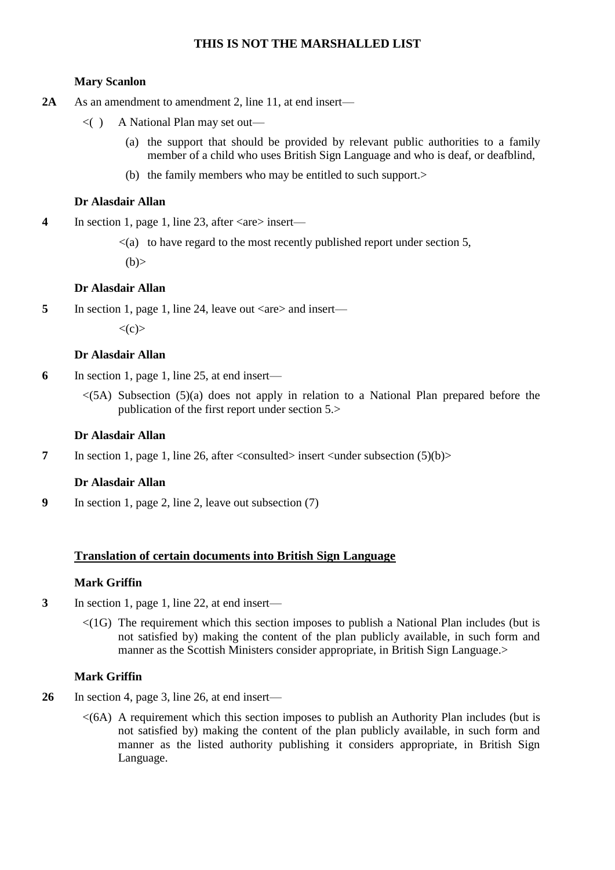#### **Mary Scanlon**

- 2A As an amendment to amendment 2, line 11, at end insert—
	- $\lt$ ( ) A National Plan may set out—
		- (a) the support that should be provided by relevant public authorities to a family member of a child who uses British Sign Language and who is deaf, or deafblind,
		- (b) the family members who may be entitled to such support.>

#### **Dr Alasdair Allan**

**4** In section 1, page 1, line 23, after <are> insert—

 $\langle a \rangle$  to have regard to the most recently published report under section 5,

 $(b)$ 

# **Dr Alasdair Allan**

**5** In section 1, page 1, line 24, leave out <are> and insert—

 $\langle c \rangle$ 

#### **Dr Alasdair Allan**

- **6** In section 1, page 1, line 25, at end insert—
	- $\leq$ (5A) Subsection (5)(a) does not apply in relation to a National Plan prepared before the publication of the first report under section 5.>

#### **Dr Alasdair Allan**

**7** In section 1, page 1, line 26, after  $\langle$  consulted $\rangle$  insert  $\langle$  under subsection (5)(b) $\rangle$ 

### **Dr Alasdair Allan**

**9** In section 1, page 2, line 2, leave out subsection (7)

### **Translation of certain documents into British Sign Language**

#### **Mark Griffin**

- **3** In section 1, page 1, line 22, at end insert—
	- $\langle$ (1G) The requirement which this section imposes to publish a National Plan includes (but is not satisfied by) making the content of the plan publicly available, in such form and manner as the Scottish Ministers consider appropriate, in British Sign Language.>

#### **Mark Griffin**

- **26** In section 4, page 3, line 26, at end insert—
	- $\lt$ (6A) A requirement which this section imposes to publish an Authority Plan includes (but is not satisfied by) making the content of the plan publicly available, in such form and manner as the listed authority publishing it considers appropriate, in British Sign Language.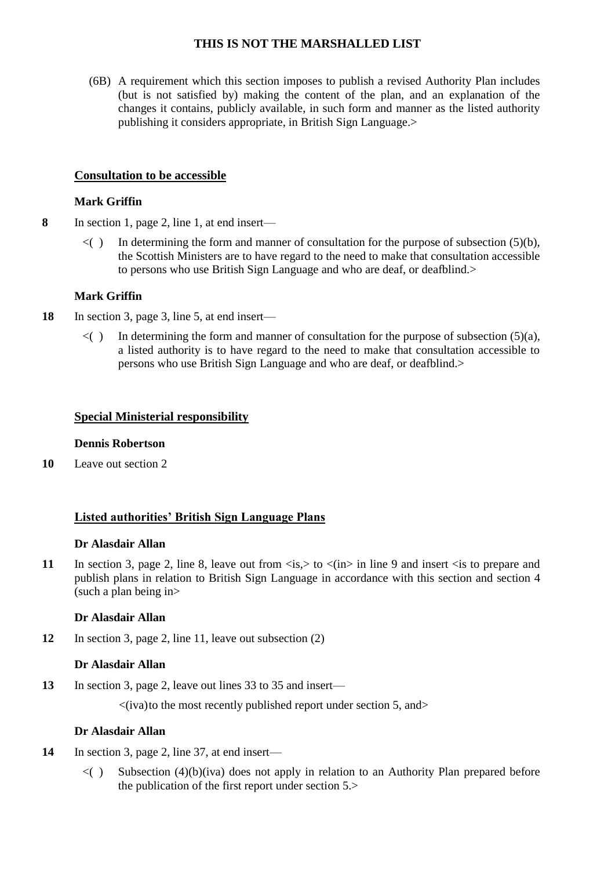(6B) A requirement which this section imposes to publish a revised Authority Plan includes (but is not satisfied by) making the content of the plan, and an explanation of the changes it contains, publicly available, in such form and manner as the listed authority publishing it considers appropriate, in British Sign Language.>

# **Consultation to be accessible**

### **Mark Griffin**

- **8** In section 1, page 2, line 1, at end insert—
	- $\langle$  ) In determining the form and manner of consultation for the purpose of subsection (5)(b), the Scottish Ministers are to have regard to the need to make that consultation accessible to persons who use British Sign Language and who are deaf, or deafblind.>

### **Mark Griffin**

- **18** In section 3, page 3, line 5, at end insert—
	- $\langle \rangle$  In determining the form and manner of consultation for the purpose of subsection (5)(a), a listed authority is to have regard to the need to make that consultation accessible to persons who use British Sign Language and who are deaf, or deafblind.>

### **Special Ministerial responsibility**

### **Dennis Robertson**

**10** Leave out section 2

### **Listed authorities' British Sign Language Plans**

### **Dr Alasdair Allan**

11 In section 3, page 2, line 8, leave out from  $\langle$ is, $>$  to  $\langle$ (in $>$  in line 9 and insert  $\langle$  is to prepare and publish plans in relation to British Sign Language in accordance with this section and section 4 (such a plan being in>

### **Dr Alasdair Allan**

**12** In section 3, page 2, line 11, leave out subsection (2)

### **Dr Alasdair Allan**

**13** In section 3, page 2, leave out lines 33 to 35 and insert—

 $\langle$ (iva)to the most recently published report under section 5, and  $>$ 

# **Dr Alasdair Allan**

- **14** In section 3, page 2, line 37, at end insert—
	- $\langle$  ( ) Subsection (4)(b)(iva) does not apply in relation to an Authority Plan prepared before the publication of the first report under section 5.>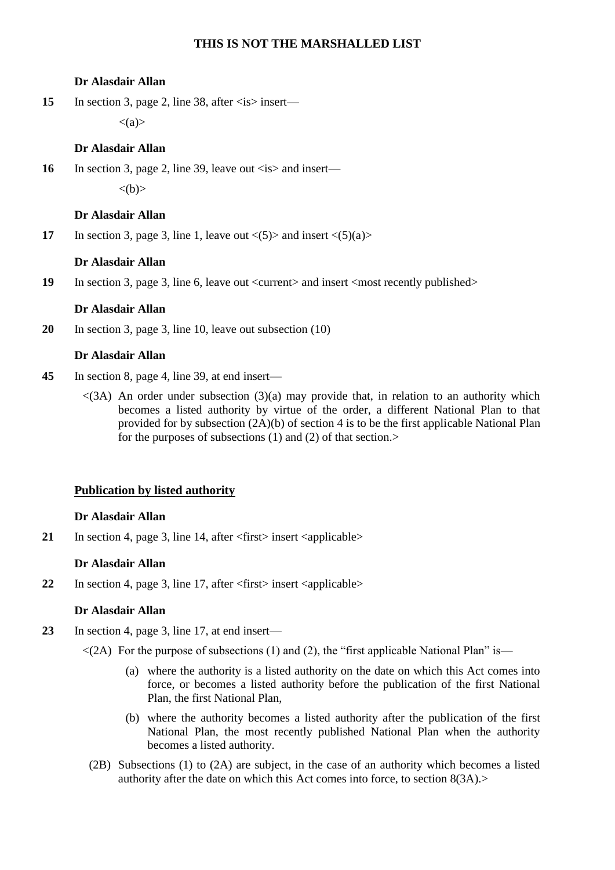#### **Dr Alasdair Allan**

15 In section 3, page 2, line 38, after  $\langle$ is $>$  insert—

 $\langle (a) \rangle$ 

#### **Dr Alasdair Allan**

16 In section 3, page 2, line 39, leave out  $\langle$  is  $\rangle$  and insert—

 $\langle$ (b) $>$ 

#### **Dr Alasdair Allan**

**17** In section 3, page 3, line 1, leave out  $\langle 5 \rangle$  and insert  $\langle 5 \rangle$  (a)

#### **Dr Alasdair Allan**

**19** In section 3, page 3, line 6, leave out <current> and insert <most recently published>

#### **Dr Alasdair Allan**

**20** In section 3, page 3, line 10, leave out subsection (10)

### **Dr Alasdair Allan**

- **45** In section 8, page 4, line 39, at end insert—
	- $\langle (3A)$  An order under subsection  $(3)(a)$  may provide that, in relation to an authority which becomes a listed authority by virtue of the order, a different National Plan to that provided for by subsection (2A)(b) of section 4 is to be the first applicable National Plan for the purposes of subsections (1) and (2) of that section.>

### **Publication by listed authority**

### **Dr Alasdair Allan**

21 In section 4, page 3, line 14, after  $\langle$  first $\rangle$  insert  $\langle$  applicable $\rangle$ 

### **Dr Alasdair Allan**

22 In section 4, page 3, line 17, after  $\langle$  first $\rangle$  insert  $\langle$  applicable $\rangle$ 

### **Dr Alasdair Allan**

- **23** In section 4, page 3, line 17, at end insert—
	- $\leq$ (2A) For the purpose of subsections (1) and (2), the "first applicable National Plan" is—
		- (a) where the authority is a listed authority on the date on which this Act comes into force, or becomes a listed authority before the publication of the first National Plan, the first National Plan,
		- (b) where the authority becomes a listed authority after the publication of the first National Plan, the most recently published National Plan when the authority becomes a listed authority.
		- (2B) Subsections (1) to (2A) are subject, in the case of an authority which becomes a listed authority after the date on which this Act comes into force, to section 8(3A).>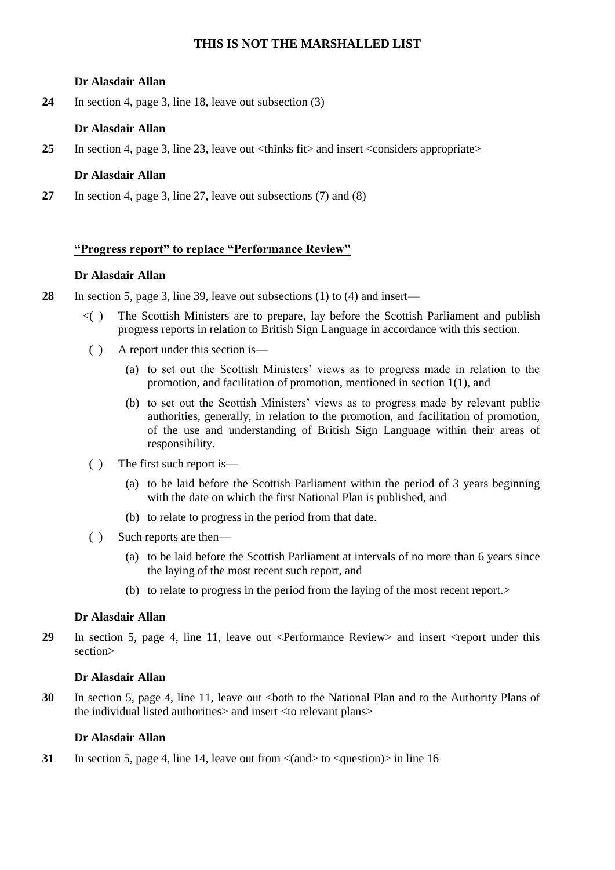#### **Dr Alasdair Allan**

**24** In section 4, page 3, line 18, leave out subsection (3)

### **Dr Alasdair Allan**

25 In section 4, page 3, line 23, leave out  $\langle$ thinks fit $\rangle$  and insert  $\langle$ considers appropriate $\rangle$ 

### **Dr Alasdair Allan**

**27** In section 4, page 3, line 27, leave out subsections (7) and (8)

# **"Progress report" to replace "Performance Review"**

#### **Dr Alasdair Allan**

- **28** In section 5, page 3, line 39, leave out subsections (1) to (4) and insert—
	- $\langle$  The Scottish Ministers are to prepare, lay before the Scottish Parliament and publish progress reports in relation to British Sign Language in accordance with this section.
	- ( ) A report under this section is—
		- (a) to set out the Scottish Ministers' views as to progress made in relation to the promotion, and facilitation of promotion, mentioned in section 1(1), and
		- (b) to set out the Scottish Ministers' views as to progress made by relevant public authorities, generally, in relation to the promotion, and facilitation of promotion, of the use and understanding of British Sign Language within their areas of responsibility.
	- ( ) The first such report is—
		- (a) to be laid before the Scottish Parliament within the period of 3 years beginning with the date on which the first National Plan is published, and
		- (b) to relate to progress in the period from that date.
	- ( ) Such reports are then—
		- (a) to be laid before the Scottish Parliament at intervals of no more than 6 years since the laying of the most recent such report, and
		- (b) to relate to progress in the period from the laying of the most recent report.>

### **Dr Alasdair Allan**

29 In section 5, page 4, line 11, leave out <Performance Review> and insert <report under this section>

#### **Dr Alasdair Allan**

**30** In section 5, page 4, line 11, leave out <br/>both to the National Plan and to the Authority Plans of the individual listed authorities> and insert <to relevant plans>

### **Dr Alasdair Allan**

**31** In section 5, page 4, line 14, leave out from  $\langle$  (and  $\rangle$  to  $\langle$  question) $\rangle$  in line 16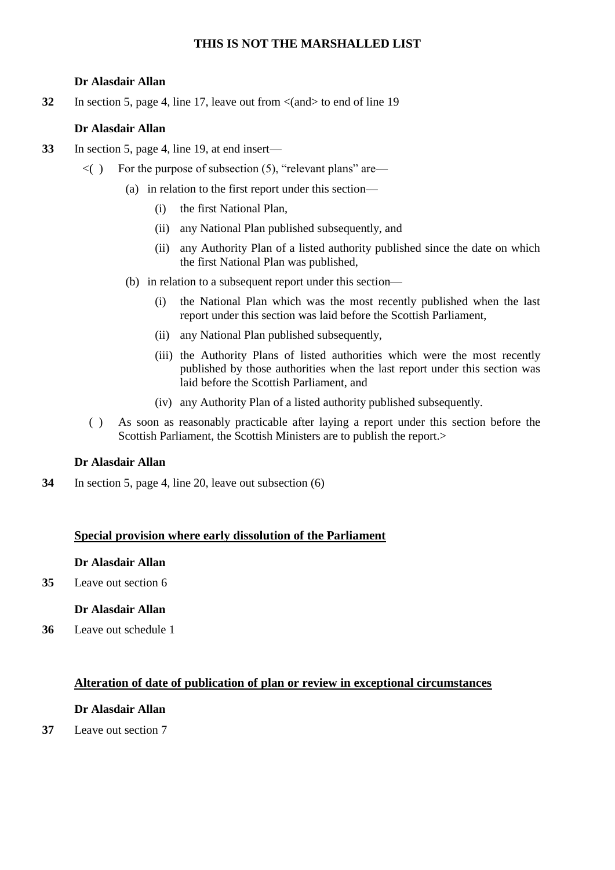### **Dr Alasdair Allan**

**32** In section 5, page 4, line 17, leave out from <(and> to end of line 19

### **Dr Alasdair Allan**

- **33** In section 5, page 4, line 19, at end insert—
	- $\lt$ ( ) For the purpose of subsection (5), "relevant plans" are—
		- (a) in relation to the first report under this section—
			- (i) the first National Plan,
			- (ii) any National Plan published subsequently, and
			- (ii) any Authority Plan of a listed authority published since the date on which the first National Plan was published,
		- (b) in relation to a subsequent report under this section—
			- (i) the National Plan which was the most recently published when the last report under this section was laid before the Scottish Parliament,
			- (ii) any National Plan published subsequently,
			- (iii) the Authority Plans of listed authorities which were the most recently published by those authorities when the last report under this section was laid before the Scottish Parliament, and
			- (iv) any Authority Plan of a listed authority published subsequently.
		- ( ) As soon as reasonably practicable after laying a report under this section before the Scottish Parliament, the Scottish Ministers are to publish the report.>

### **Dr Alasdair Allan**

**34** In section 5, page 4, line 20, leave out subsection (6)

### **Special provision where early dissolution of the Parliament**

#### **Dr Alasdair Allan**

**35** Leave out section 6

### **Dr Alasdair Allan**

**36** Leave out schedule 1

### **Alteration of date of publication of plan or review in exceptional circumstances**

# **Dr Alasdair Allan**

**37** Leave out section 7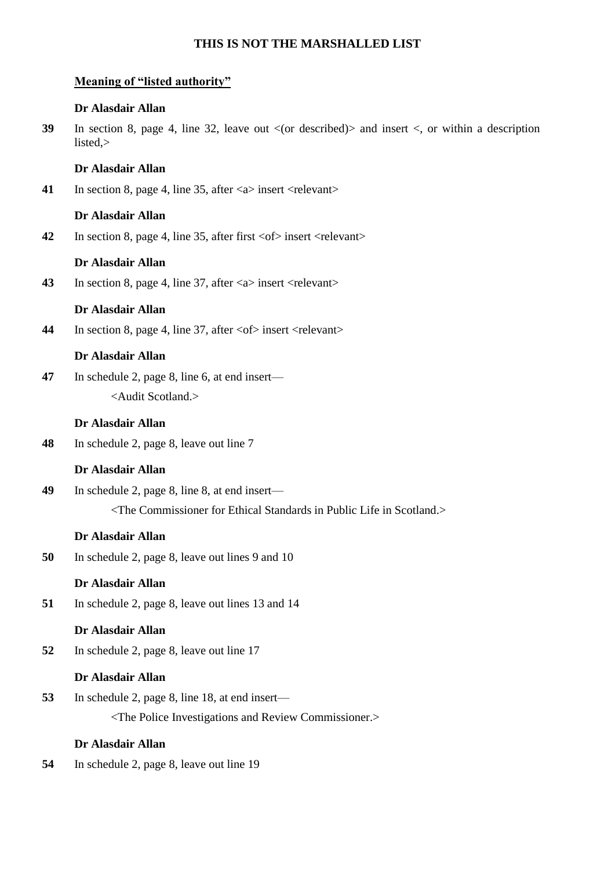#### **Meaning of "listed authority"**

#### **Dr Alasdair Allan**

**39** In section 8, page 4, line 32, leave out <(or described)> and insert <, or within a description listed,>

### **Dr Alasdair Allan**

**41** In section 8, page 4, line 35, after  $\langle$ a insert  $\langle$  relevant  $\rangle$ 

#### **Dr Alasdair Allan**

**42** In section 8, page 4, line 35, after first  $\langle$ of $\rangle$  insert  $\langle$  relevant $\rangle$ 

# **Dr Alasdair Allan**

**43** In section 8, page 4, line 37, after  $\langle$ a $\rangle$  insert  $\langle$ relevant $\rangle$ 

### **Dr Alasdair Allan**

**44** In section 8, page 4, line 37, after  $\langle$ of $\rangle$  insert  $\langle$  relevant $\rangle$ 

# **Dr Alasdair Allan**

**47** In schedule 2, page 8, line 6, at end insert— <Audit Scotland.>

#### **Dr Alasdair Allan**

**48** In schedule 2, page 8, leave out line 7

# **Dr Alasdair Allan**

**49** In schedule 2, page 8, line 8, at end insert— <The Commissioner for Ethical Standards in Public Life in Scotland.>

#### **Dr Alasdair Allan**

**50** In schedule 2, page 8, leave out lines 9 and 10

#### **Dr Alasdair Allan**

**51** In schedule 2, page 8, leave out lines 13 and 14

# **Dr Alasdair Allan**

**52** In schedule 2, page 8, leave out line 17

## **Dr Alasdair Allan**

**53** In schedule 2, page 8, line 18, at end insert— <The Police Investigations and Review Commissioner.>

# **Dr Alasdair Allan**

**54** In schedule 2, page 8, leave out line 19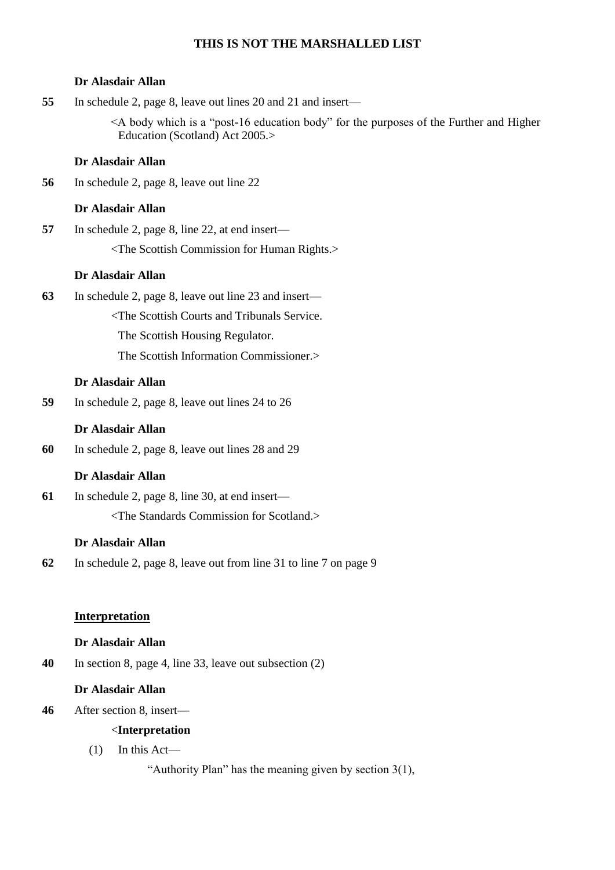#### **Dr Alasdair Allan**

**55** In schedule 2, page 8, leave out lines 20 and 21 and insert—

<A body which is a "post-16 education body" for the purposes of the Further and Higher Education (Scotland) Act 2005.>

#### **Dr Alasdair Allan**

**56** In schedule 2, page 8, leave out line 22

#### **Dr Alasdair Allan**

**57** In schedule 2, page 8, line 22, at end insert—

<The Scottish Commission for Human Rights.>

#### **Dr Alasdair Allan**

**63** In schedule 2, page 8, leave out line 23 and insert—

<The Scottish Courts and Tribunals Service.

The Scottish Housing Regulator.

The Scottish Information Commissioner.>

# **Dr Alasdair Allan**

**59** In schedule 2, page 8, leave out lines 24 to 26

# **Dr Alasdair Allan**

**60** In schedule 2, page 8, leave out lines 28 and 29

# **Dr Alasdair Allan**

**61** In schedule 2, page 8, line 30, at end insert— <The Standards Commission for Scotland.>

### **Dr Alasdair Allan**

**62** In schedule 2, page 8, leave out from line 31 to line 7 on page 9

# **Interpretation**

#### **Dr Alasdair Allan**

**40** In section 8, page 4, line 33, leave out subsection (2)

#### **Dr Alasdair Allan**

**46** After section 8, insert—

# <**Interpretation**

(1) In this Act—

"Authority Plan" has the meaning given by section 3(1),